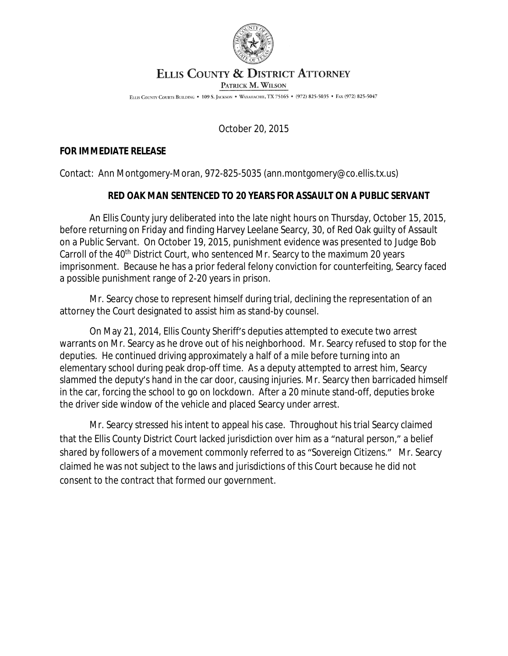

## ELLIS COUNTY & DISTRICT ATTORNEY

PATRICK M. WILSON

ELLIS COUNTY COURTS BUILDING . 109 S. JACKSON . WAXAHACHIE, TX 75165 . (972) 825-5035 . FAX (972) 825-5047

October 20, 2015

## **FOR IMMEDIATE RELEASE**

Contact: Ann Montgomery-Moran, 972-825-5035 (ann.montgomery@co.ellis.tx.us)

## **RED OAK MAN SENTENCED TO 20 YEARS FOR ASSAULT ON A PUBLIC SERVANT**

An Ellis County jury deliberated into the late night hours on Thursday, October 15, 2015, before returning on Friday and finding Harvey Leelane Searcy, 30, of Red Oak guilty of Assault on a Public Servant. On October 19, 2015, punishment evidence was presented to Judge Bob Carroll of the 40<sup>th</sup> District Court, who sentenced Mr. Searcy to the maximum 20 years imprisonment. Because he has a prior federal felony conviction for counterfeiting, Searcy faced a possible punishment range of 2-20 years in prison.

Mr. Searcy chose to represent himself during trial, declining the representation of an attorney the Court designated to assist him as stand-by counsel.

On May 21, 2014, Ellis County Sheriff's deputies attempted to execute two arrest warrants on Mr. Searcy as he drove out of his neighborhood. Mr. Searcy refused to stop for the deputies. He continued driving approximately a half of a mile before turning into an elementary school during peak drop-off time. As a deputy attempted to arrest him, Searcy slammed the deputy's hand in the car door, causing injuries. Mr. Searcy then barricaded himself in the car, forcing the school to go on lockdown. After a 20 minute stand-off, deputies broke the driver side window of the vehicle and placed Searcy under arrest.

Mr. Searcy stressed his intent to appeal his case. Throughout his trial Searcy claimed that the Ellis County District Court lacked jurisdiction over him as a "natural person," a belief shared by followers of a movement commonly referred to as "Sovereign Citizens." Mr. Searcy claimed he was not subject to the laws and jurisdictions of this Court because he did not consent to the contract that formed our government.